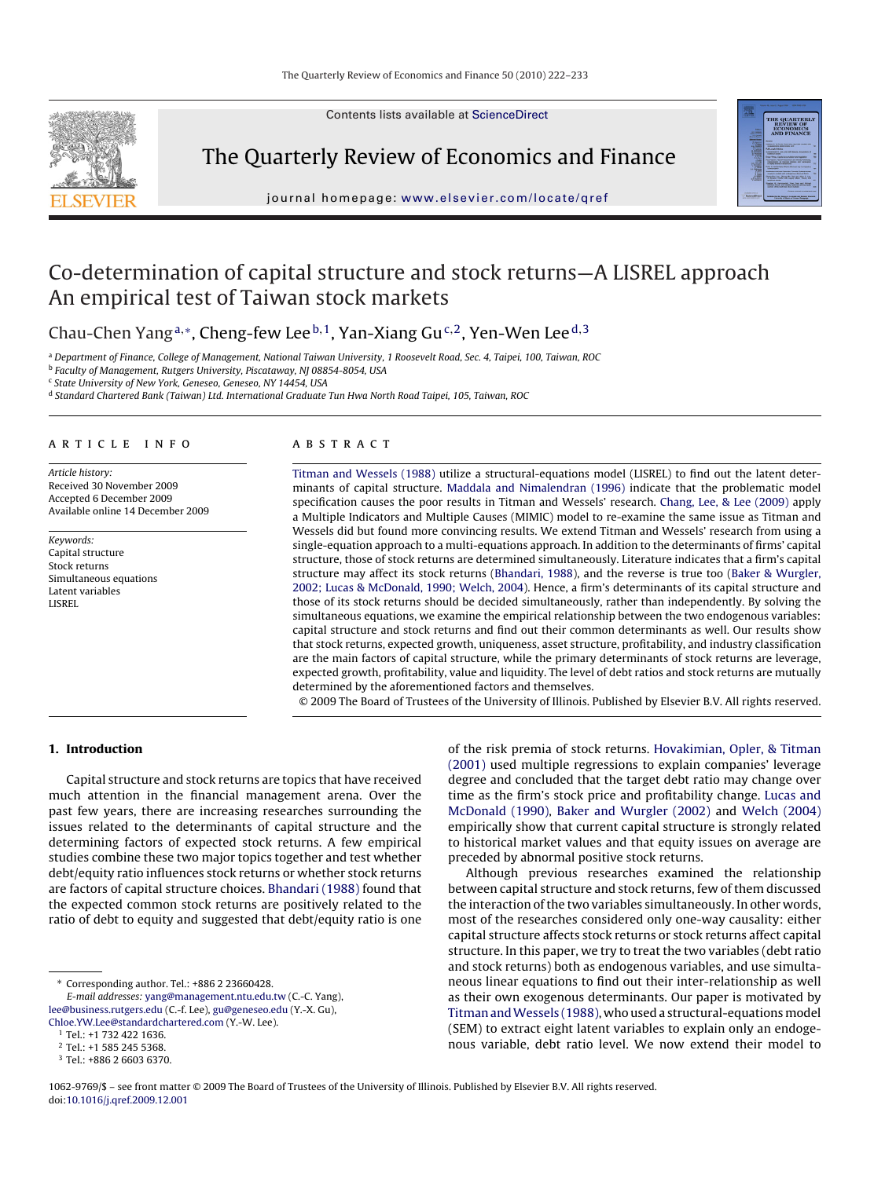Contents lists available at [ScienceDirect](http://www.sciencedirect.com/science/journal/10629769)



The Quarterly Review of Economics and Finance



# Co-determination of capital structure and stock returns—A LISREL approach An empirical test of Taiwan stock markets

Chau-Chen Yang<sup>a,∗</sup>, Cheng-few Lee<sup>b,1</sup>, Yan-Xiang Gu<sup>c,2</sup>, Yen-Wen Lee<sup>d,3</sup>

<sup>a</sup> Department of Finance, College of Management, National Taiwan University, 1 Roosevelt Road, Sec. 4, Taipei, 100, Taiwan, ROC

b Faculty of Management, Rutgers University, Piscataway, NJ 08854-8054, USA

<sup>c</sup> State University of New York, Geneseo, Geneseo, NY 14454, USA

<sup>d</sup> Standard Chartered Bank (Taiwan) Ltd. International Graduate Tun Hwa North Road Taipei, 105, Taiwan, ROC

#### article info

Article history: Received 30 November 2009 Accepted 6 December 2009 Available online 14 December 2009

Keywords: Capital structure Stock returns Simultaneous equations Latent variables LISREL

## A B S T R A C T

[Titman and Wessels \(1988\)](#page--1-0) utilize a structural-equations model (LISREL) to find out the latent determinants of capital structure. [Maddala and Nimalendran \(1996\)](#page--1-0) indicate that the problematic model specification causes the poor results in Titman and Wessels' research. [Chang, Lee, & Lee \(2009\)](#page--1-0) apply a Multiple Indicators and Multiple Causes (MIMIC) model to re-examine the same issue as Titman and Wessels did but found more convincing results. We extend Titman and Wessels' research from using a single-equation approach to a multi-equations approach. In addition to the determinants of firms' capital structure, those of stock returns are determined simultaneously. Literature indicates that a firm's capital structure may affect its stock returns [\(Bhandari, 1988\),](#page--1-0) and the reverse is true too [\(Baker & Wurgler,](#page--1-0) [2002; Lucas & McDonald, 1990; Welch, 2004\).](#page--1-0) Hence, a firm's determinants of its capital structure and those of its stock returns should be decided simultaneously, rather than independently. By solving the simultaneous equations, we examine the empirical relationship between the two endogenous variables: capital structure and stock returns and find out their common determinants as well. Our results show that stock returns, expected growth, uniqueness, asset structure, profitability, and industry classification are the main factors of capital structure, while the primary determinants of stock returns are leverage, expected growth, profitability, value and liquidity. The level of debt ratios and stock returns are mutually determined by the aforementioned factors and themselves.

© 2009 The Board of Trustees of the University of Illinois. Published by Elsevier B.V. All rights reserved.

## **1. Introduction**

Capital structure and stock returns are topics that have received much attention in the financial management arena. Over the past few years, there are increasing researches surrounding the issues related to the determinants of capital structure and the determining factors of expected stock returns. A few empirical studies combine these two major topics together and test whether debt/equity ratio influences stock returns or whether stock returns are factors of capital structure choices. [Bhandari \(1988\)](#page--1-0) found that the expected common stock returns are positively related to the ratio of debt to equity and suggested that debt/equity ratio is one

∗ Corresponding author. Tel.: +886 2 23660428. E-mail addresses: [yang@management.ntu.edu.tw](mailto:yang@management.ntu.edu.tw) (C.-C. Yang), [lee@business.rutgers.edu](mailto:lee@business.rutgers.edu) (C.-f. Lee), [gu@geneseo.edu](mailto:gu@geneseo.edu) (Y.-X. Gu),

[Chloe.YW.Lee@standardchartered.com](mailto:Chloe.YW.Lee@standardchartered.com) (Y.-W. Lee).

of the risk premia of stock returns. [Hovakimian, Opler, & Titman](#page--1-0) [\(2001\)](#page--1-0) used multiple regressions to explain companies' leverage degree and concluded that the target debt ratio may change over time as the firm's stock price and profitability change. [Lucas and](#page--1-0) [McDonald \(1990\),](#page--1-0) [Baker and Wurgler \(2002\)](#page--1-0) and [Welch \(2004\)](#page--1-0) empirically show that current capital structure is strongly related to historical market values and that equity issues on average are preceded by abnormal positive stock returns.

Although previous researches examined the relationship between capital structure and stock returns, few of them discussed the interaction of the two variables simultaneously. In other words, most of the researches considered only one-way causality: either capital structure affects stock returns or stock returns affect capital structure. In this paper, we try to treat the two variables (debt ratio and stock returns) both as endogenous variables, and use simultaneous linear equations to find out their inter-relationship as well as their own exogenous determinants. Our paper is motivated by Titman and Wessels (1988), who used a structural-equations model (SEM) to extract eight latent variables to explain only an endogenous variable, debt ratio level. We now extend their model to

<sup>1</sup> Tel.: +1 732 422 1636.

<sup>2</sup> Tel.: +1 585 245 5368.

<sup>3</sup> Tel.: +886 2 6603 6370.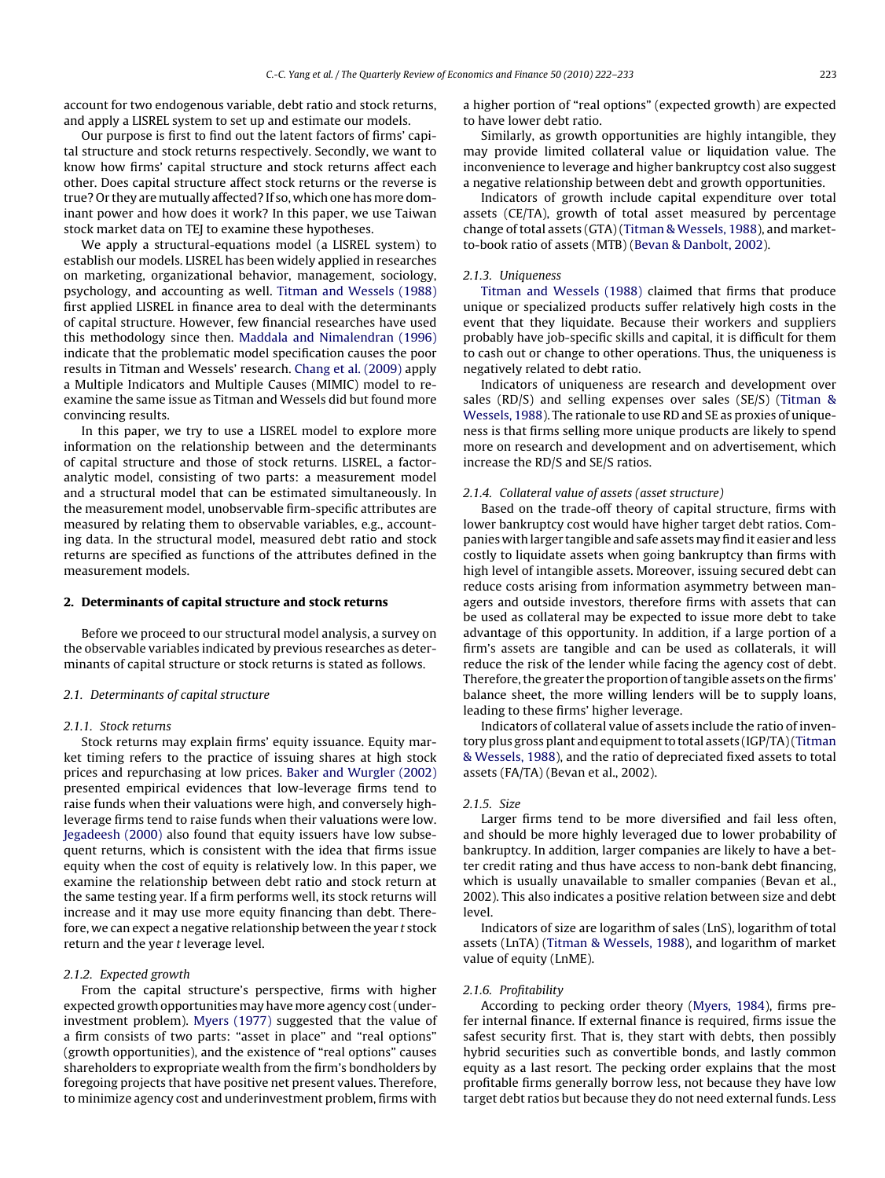account for two endogenous variable, debt ratio and stock returns, and apply a LISREL system to set up and estimate our models.

Our purpose is first to find out the latent factors of firms' capital structure and stock returns respectively. Secondly, we want to know how firms' capital structure and stock returns affect each other. Does capital structure affect stock returns or the reverse is true? Or they are mutually affected? If so, which one has more dominant power and how does it work? In this paper, we use Taiwan stock market data on TEJ to examine these hypotheses.

We apply a structural-equations model (a LISREL system) to establish our models. LISREL has been widely applied in researches on marketing, organizational behavior, management, sociology, psychology, and accounting as well. [Titman and Wessels \(1988\)](#page--1-0) first applied LISREL in finance area to deal with the determinants of capital structure. However, few financial researches have used this methodology since then. [Maddala and Nimalendran \(1996\)](#page--1-0) indicate that the problematic model specification causes the poor results in Titman and Wessels' research. [Chang et al. \(2009\)](#page--1-0) apply a Multiple Indicators and Multiple Causes (MIMIC) model to reexamine the same issue as Titman and Wessels did but found more convincing results.

In this paper, we try to use a LISREL model to explore more information on the relationship between and the determinants of capital structure and those of stock returns. LISREL, a factoranalytic model, consisting of two parts: a measurement model and a structural model that can be estimated simultaneously. In the measurement model, unobservable firm-specific attributes are measured by relating them to observable variables, e.g., accounting data. In the structural model, measured debt ratio and stock returns are specified as functions of the attributes defined in the measurement models.

#### **2. Determinants of capital structure and stock returns**

Before we proceed to our structural model analysis, a survey on the observable variables indicated by previous researches as determinants of capital structure or stock returns is stated as follows.

#### 2.1. Determinants of capital structure

#### 2.1.1. Stock returns

Stock returns may explain firms' equity issuance. Equity market timing refers to the practice of issuing shares at high stock prices and repurchasing at low prices. [Baker and Wurgler \(2002\)](#page--1-0) presented empirical evidences that low-leverage firms tend to raise funds when their valuations were high, and conversely highleverage firms tend to raise funds when their valuations were low. [Jegadeesh \(2000\)](#page--1-0) also found that equity issuers have low subsequent returns, which is consistent with the idea that firms issue equity when the cost of equity is relatively low. In this paper, we examine the relationship between debt ratio and stock return at the same testing year. If a firm performs well, its stock returns will increase and it may use more equity financing than debt. Therefore, we can expect a negative relationship between the year t stock return and the year t leverage level.

#### 2.1.2. Expected growth

From the capital structure's perspective, firms with higher expected growth opportunities may have more agency cost (underinvestment problem). [Myers \(1977\)](#page--1-0) suggested that the value of a firm consists of two parts: "asset in place" and "real options" (growth opportunities), and the existence of "real options" causes shareholders to expropriate wealth from the firm's bondholders by foregoing projects that have positive net present values. Therefore, to minimize agency cost and underinvestment problem, firms with

a higher portion of "real options" (expected growth) are expected to have lower debt ratio.

Similarly, as growth opportunities are highly intangible, they may provide limited collateral value or liquidation value. The inconvenience to leverage and higher bankruptcy cost also suggest a negative relationship between debt and growth opportunities.

Indicators of growth include capital expenditure over total assets (CE/TA), growth of total asset measured by percentage change of total assets (GTA) [\(Titman & Wessels, 1988\),](#page--1-0) and marketto-book ratio of assets (MTB) [\(Bevan & Danbolt, 2002\).](#page--1-0)

#### 2.1.3. Uniqueness

[Titman and Wessels \(1988\)](#page--1-0) claimed that firms that produce unique or specialized products suffer relatively high costs in the event that they liquidate. Because their workers and suppliers probably have job-specific skills and capital, it is difficult for them to cash out or change to other operations. Thus, the uniqueness is negatively related to debt ratio.

Indicators of uniqueness are research and development over sales (RD/S) and selling expenses over sales (SE/S) ([Titman &](#page--1-0) [Wessels, 1988\).](#page--1-0) The rationale to use RD and SE as proxies of uniqueness is that firms selling more unique products are likely to spend more on research and development and on advertisement, which increase the RD/S and SE/S ratios.

#### 2.1.4. Collateral value of assets (asset structure)

Based on the trade-off theory of capital structure, firms with lower bankruptcy cost would have higher target debt ratios. Companies with larger tangible and safe assetsmay find it easier and less costly to liquidate assets when going bankruptcy than firms with high level of intangible assets. Moreover, issuing secured debt can reduce costs arising from information asymmetry between managers and outside investors, therefore firms with assets that can be used as collateral may be expected to issue more debt to take advantage of this opportunity. In addition, if a large portion of a firm's assets are tangible and can be used as collaterals, it will reduce the risk of the lender while facing the agency cost of debt. Therefore, the greater the proportion of tangible assets on the firms' balance sheet, the more willing lenders will be to supply loans, leading to these firms' higher leverage.

Indicators of collateral value of assets include the ratio of inventory plus gross plant and equipment to total assets (IGP/TA) ([Titman](#page--1-0) [& Wessels, 1988\),](#page--1-0) and the ratio of depreciated fixed assets to total assets (FA/TA) (Bevan et al., 2002).

#### 2.1.5. Size

Larger firms tend to be more diversified and fail less often, and should be more highly leveraged due to lower probability of bankruptcy. In addition, larger companies are likely to have a better credit rating and thus have access to non-bank debt financing, which is usually unavailable to smaller companies (Bevan et al., 2002). This also indicates a positive relation between size and debt level.

Indicators of size are logarithm of sales (LnS), logarithm of total assets (LnTA) [\(Titman & Wessels, 1988\),](#page--1-0) and logarithm of market value of equity (LnME).

#### 2.1.6. Profitability

According to pecking order theory ([Myers, 1984\),](#page--1-0) firms prefer internal finance. If external finance is required, firms issue the safest security first. That is, they start with debts, then possibly hybrid securities such as convertible bonds, and lastly common equity as a last resort. The pecking order explains that the most profitable firms generally borrow less, not because they have low target debt ratios but because they do not need external funds. Less